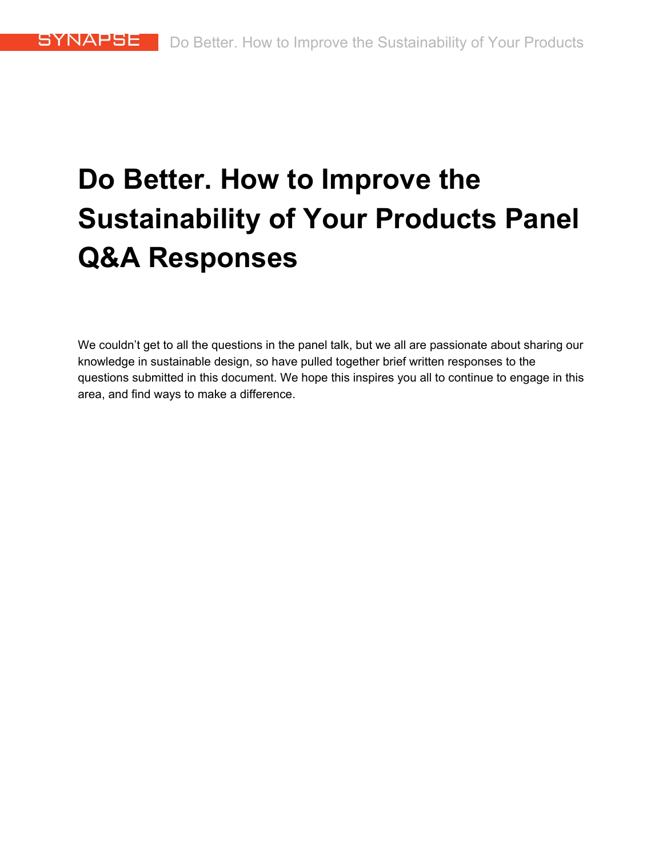# **Do Better. How to Improve the Sustainability of Your Products Panel Q&A Responses**

We couldn't get to all the questions in the panel talk, but we all are passionate about sharing our knowledge in sustainable design, so have pulled together brief written responses to the questions submitted in this document. We hope this inspires you all to continue to engage in this area, and find ways to make a difference.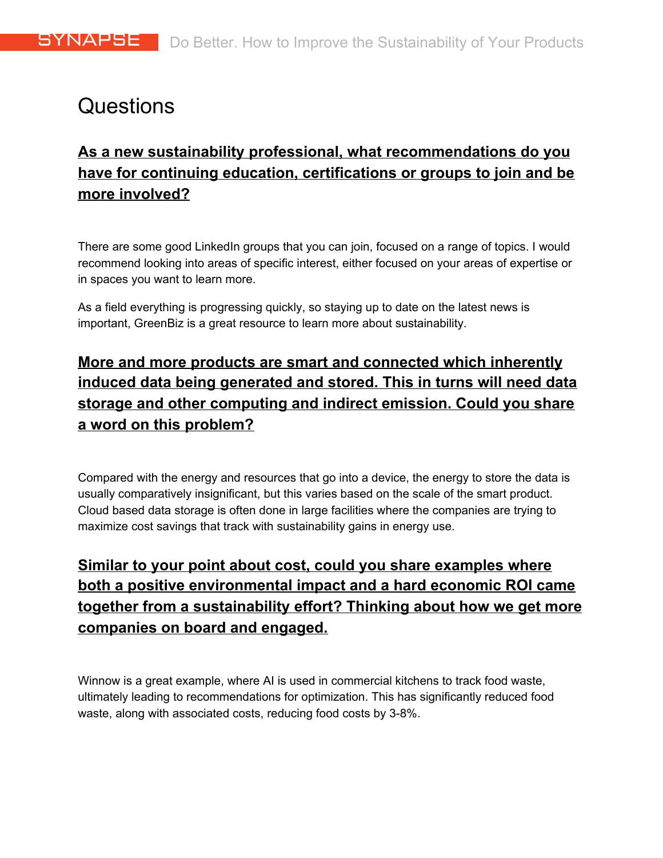# Questions

# **As a new sustainability professional, what recommendations do you have for continuing education, certifications or groups to join and be more involved?**

There are some good LinkedIn groups that you can join, focused on a range of topics. I would recommend looking into areas of specific interest, either focused on your areas of expertise or in spaces you want to learn more.

As a field everything is progressing quickly, so staying up to date on the latest news is important, GreenBiz is a great resource to learn more about sustainability.

# **More and more products are smart and connected which inherently induced data being generated and stored. This in turns will need data storage and other computing and indirect emission. Could you share a word on this problem?**

Compared with the energy and resources that go into a device, the energy to store the data is usually comparatively insignificant, but this varies based on the scale of the smart product. Cloud based data storage is often done in large facilities where the companies are trying to maximize cost savings that track with sustainability gains in energy use.

# **Similar to your point about cost, could you share examples where both a positive environmental impact and a hard economic ROI came together from a sustainability effort? Thinking about how we get more companies on board and engaged.**

Winnow is a great example, where AI is used in commercial kitchens to track food waste, ultimately leading to recommendations for optimization. This has significantly reduced food waste, along with associated costs, reducing food costs by 3-8%.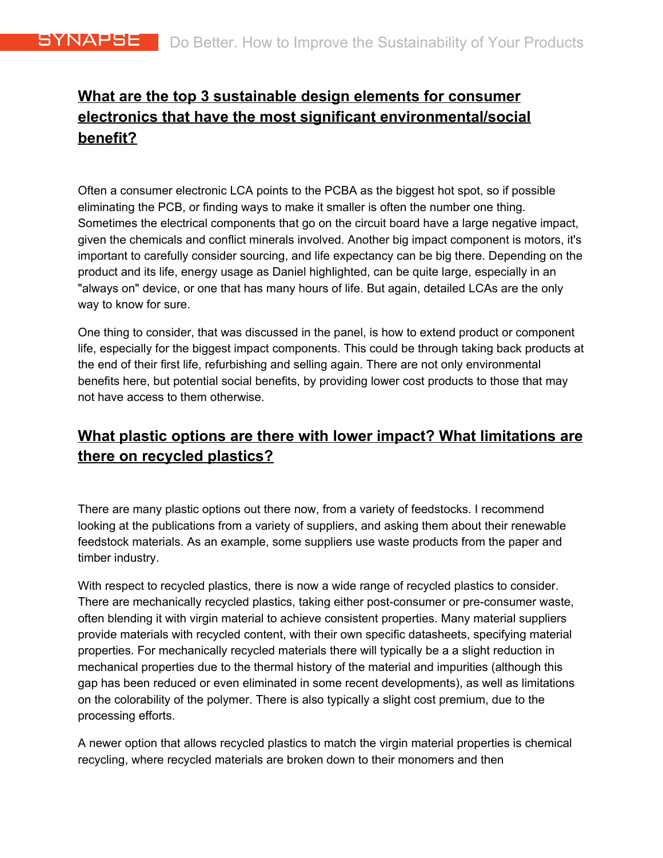# **What are the top 3 sustainable design elements for consumer electronics that have the most significant environmental/social benefit?**

Often a consumer electronic LCA points to the PCBA as the biggest hot spot, so if possible eliminating the PCB, or finding ways to make it smaller is often the number one thing. Sometimes the electrical components that go on the circuit board have a large negative impact, given the chemicals and conflict minerals involved. Another big impact component is motors, it's important to carefully consider sourcing, and life expectancy can be big there. Depending on the product and its life, energy usage as Daniel highlighted, can be quite large, especially in an "always on" device, or one that has many hours of life. But again, detailed LCAs are the only way to know for sure.

One thing to consider, that was discussed in the panel, is how to extend product or component life, especially for the biggest impact components. This could be through taking back products at the end of their first life, refurbishing and selling again. There are not only environmental benefits here, but potential social benefits, by providing lower cost products to those that may not have access to them otherwise.

# **What plastic options are there with lower impact? What limitations are there on recycled plastics?**

There are many plastic options out there now, from a variety of feedstocks. I recommend looking at the publications from a variety of suppliers, and asking them about their renewable feedstock materials. As an example, some suppliers use waste products from the paper and timber industry.

With respect to recycled plastics, there is now a wide range of recycled plastics to consider. There are mechanically recycled plastics, taking either post-consumer or pre-consumer waste, often blending it with virgin material to achieve consistent properties. Many material suppliers provide materials with recycled content, with their own specific datasheets, specifying material properties. For mechanically recycled materials there will typically be a a slight reduction in mechanical properties due to the thermal history of the material and impurities (although this gap has been reduced or even eliminated in some recent developments), as well as limitations on the colorability of the polymer. There is also typically a slight cost premium, due to the processing efforts.

A newer option that allows recycled plastics to match the virgin material properties is chemical recycling, where recycled materials are broken down to their monomers and then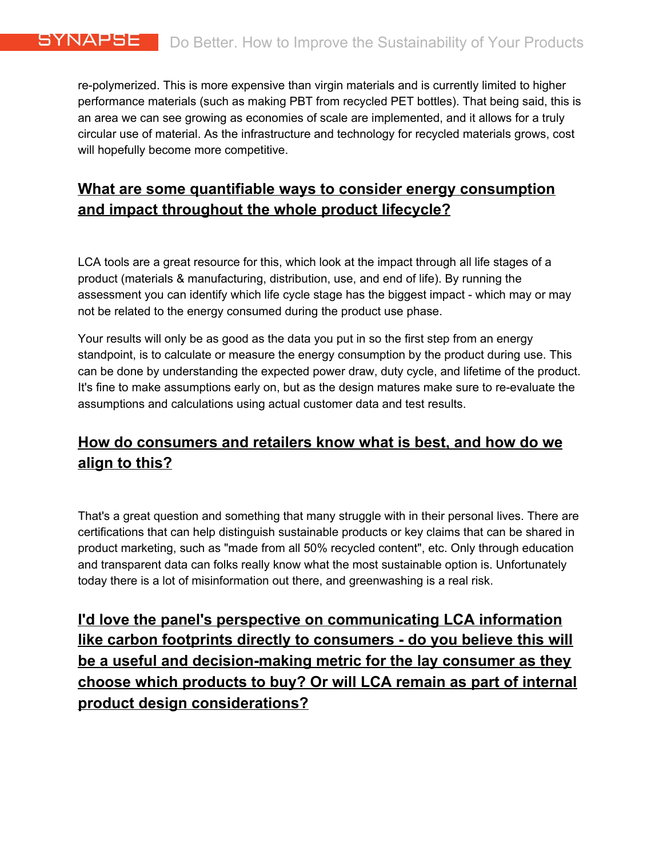re-polymerized. This is more expensive than virgin materials and is currently limited to higher performance materials (such as making PBT from recycled PET bottles). That being said, this is an area we can see growing as economies of scale are implemented, and it allows for a truly circular use of material. As the infrastructure and technology for recycled materials grows, cost will hopefully become more competitive.

#### **What are some quantifiable ways to consider energy consumption and impact throughout the whole product lifecycle?**

LCA tools are a great resource for this, which look at the impact through all life stages of a product (materials & manufacturing, distribution, use, and end of life). By running the assessment you can identify which life cycle stage has the biggest impact - which may or may not be related to the energy consumed during the product use phase.

Your results will only be as good as the data you put in so the first step from an energy standpoint, is to calculate or measure the energy consumption by the product during use. This can be done by understanding the expected power draw, duty cycle, and lifetime of the product. It's fine to make assumptions early on, but as the design matures make sure to re-evaluate the assumptions and calculations using actual customer data and test results.

# **How do consumers and retailers know what is best, and how do we align to this?**

That's a great question and something that many struggle with in their personal lives. There are certifications that can help distinguish sustainable products or key claims that can be shared in product marketing, such as "made from all 50% recycled content", etc. Only through education and transparent data can folks really know what the most sustainable option is. Unfortunately today there is a lot of misinformation out there, and greenwashing is a real risk.

**I'd love the panel's perspective on communicating LCA information like carbon footprints directly to consumers - do you believe this will be a useful and decision-making metric for the lay consumer as they choose which products to buy? Or will LCA remain as part of internal product design considerations?**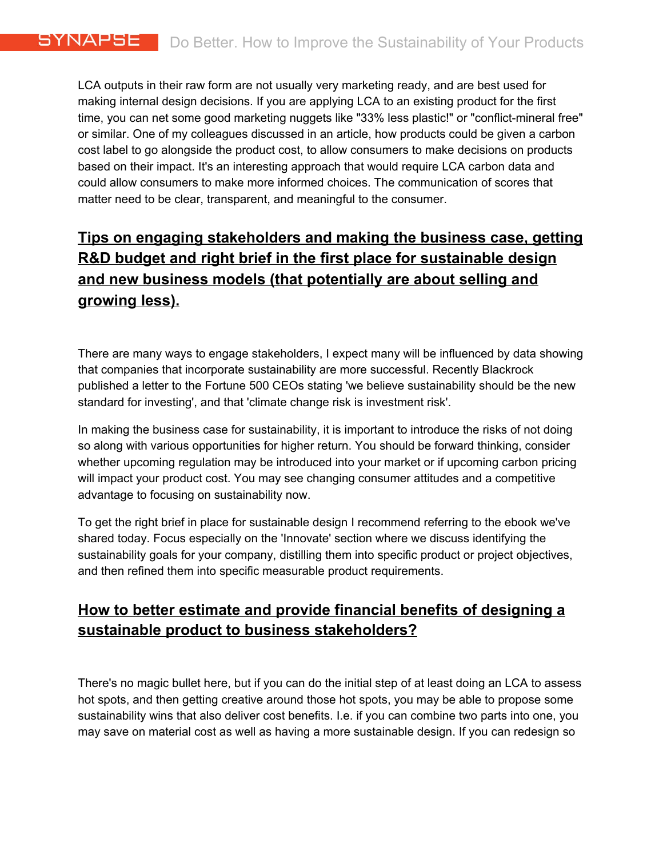LCA outputs in their raw form are not usually very marketing ready, and are best used for making internal design decisions. If you are applying LCA to an existing product for the first time, you can net some good marketing nuggets like "33% less plastic!" or "conflict-mineral free" or similar. One of my colleagues discussed in an article, how products could be given a carbon cost label to go alongside the product cost, to allow consumers to make decisions on products based on their impact. It's an interesting approach that would require LCA carbon data and could allow consumers to make more informed choices. The communication of scores that matter need to be clear, transparent, and meaningful to the consumer.

# **Tips on engaging stakeholders and making the business case, getting R&D budget and right brief in the first place for sustainable design and new business models (that potentially are about selling and growing less).**

There are many ways to engage stakeholders, I expect many will be influenced by data showing that companies that incorporate sustainability are more successful. Recently Blackrock published a letter to the Fortune 500 CEOs stating 'we believe sustainability should be the new standard for investing', and that 'climate change risk is investment risk'.

In making the business case for sustainability, it is important to introduce the risks of not doing so along with various opportunities for higher return. You should be forward thinking, consider whether upcoming regulation may be introduced into your market or if upcoming carbon pricing will impact your product cost. You may see changing consumer attitudes and a competitive advantage to focusing on sustainability now.

To get the right brief in place for sustainable design I recommend referring to the ebook we've shared today. Focus especially on the 'Innovate' section where we discuss identifying the sustainability goals for your company, distilling them into specific product or project objectives, and then refined them into specific measurable product requirements.

#### **How to better estimate and provide financial benefits of designing a sustainable product to business stakeholders?**

There's no magic bullet here, but if you can do the initial step of at least doing an LCA to assess hot spots, and then getting creative around those hot spots, you may be able to propose some sustainability wins that also deliver cost benefits. I.e. if you can combine two parts into one, you may save on material cost as well as having a more sustainable design. If you can redesign so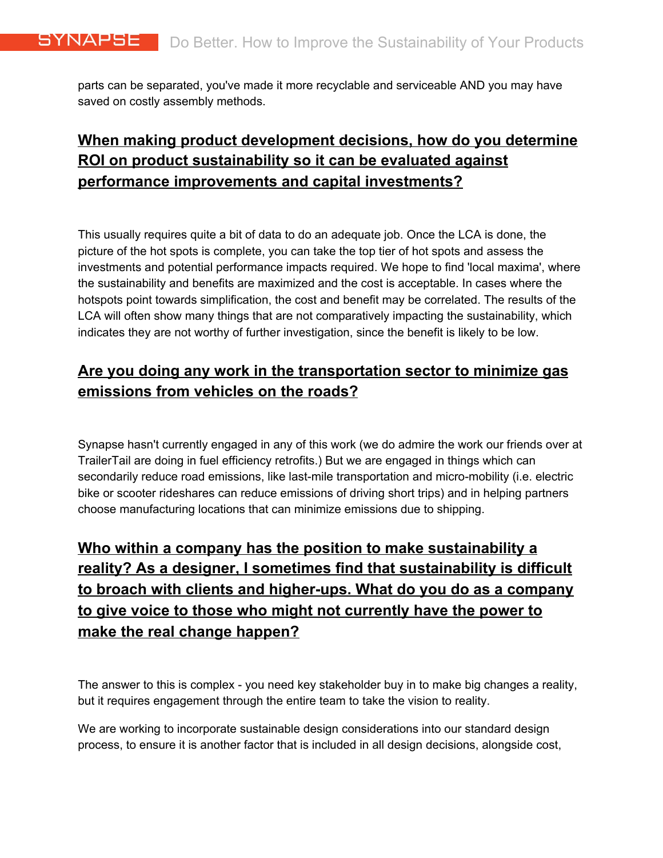parts can be separated, you've made it more recyclable and serviceable AND you may have saved on costly assembly methods.

# **When making product development decisions, how do you determine ROI on product sustainability so it can be evaluated against performance improvements and capital investments?**

This usually requires quite a bit of data to do an adequate job. Once the LCA is done, the picture of the hot spots is complete, you can take the top tier of hot spots and assess the investments and potential performance impacts required. We hope to find 'local maxima', where the sustainability and benefits are maximized and the cost is acceptable. In cases where the hotspots point towards simplification, the cost and benefit may be correlated. The results of the LCA will often show many things that are not comparatively impacting the sustainability, which indicates they are not worthy of further investigation, since the benefit is likely to be low.

# **Are you doing any work in the transportation sector to minimize gas emissions from vehicles on the roads?**

Synapse hasn't currently engaged in any of this work (we do admire the work our friends over at TrailerTail are doing in fuel efficiency retrofits.) But we are engaged in things which can secondarily reduce road emissions, like last-mile transportation and micro-mobility (i.e. electric bike or scooter rideshares can reduce emissions of driving short trips) and in helping partners choose manufacturing locations that can minimize emissions due to shipping.

# **Who within a company has the position to make sustainability a reality? As a designer, I sometimes find that sustainability is difficult to broach with clients and higher-ups. What do you do as a company to give voice to those who might not currently have the power to make the real change happen?**

The answer to this is complex - you need key stakeholder buy in to make big changes a reality, but it requires engagement through the entire team to take the vision to reality.

We are working to incorporate sustainable design considerations into our standard design process, to ensure it is another factor that is included in all design decisions, alongside cost,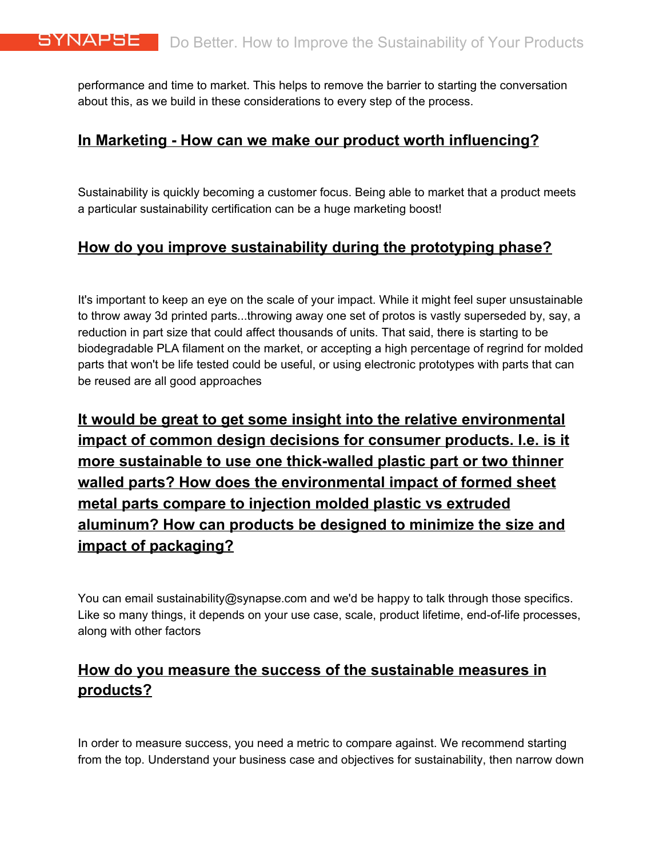performance and time to market. This helps to remove the barrier to starting the conversation about this, as we build in these considerations to every step of the process.

#### **In Marketing - How can we make our product worth influencing?**

Sustainability is quickly becoming a customer focus. Being able to market that a product meets a particular sustainability certification can be a huge marketing boost!

#### **How do you improve sustainability during the prototyping phase?**

It's important to keep an eye on the scale of your impact. While it might feel super unsustainable to throw away 3d printed parts...throwing away one set of protos is vastly superseded by, say, a reduction in part size that could affect thousands of units. That said, there is starting to be biodegradable PLA filament on the market, or accepting a high percentage of regrind for molded parts that won't be life tested could be useful, or using electronic prototypes with parts that can be reused are all good approaches

**It would be great to get some insight into the relative environmental impact of common design decisions for consumer products. I.e. is it more sustainable to use one thick-walled plastic part or two thinner walled parts? How does the environmental impact of formed sheet metal parts compare to injection molded plastic vs extruded aluminum? How can products be designed to minimize the size and impact of packaging?**

You can email sustainability@synapse.com and we'd be happy to talk through those specifics. Like so many things, it depends on your use case, scale, product lifetime, end-of-life processes, along with other factors

#### **How do you measure the success of the sustainable measures in products?**

In order to measure success, you need a metric to compare against. We recommend starting from the top. Understand your business case and objectives for sustainability, then narrow down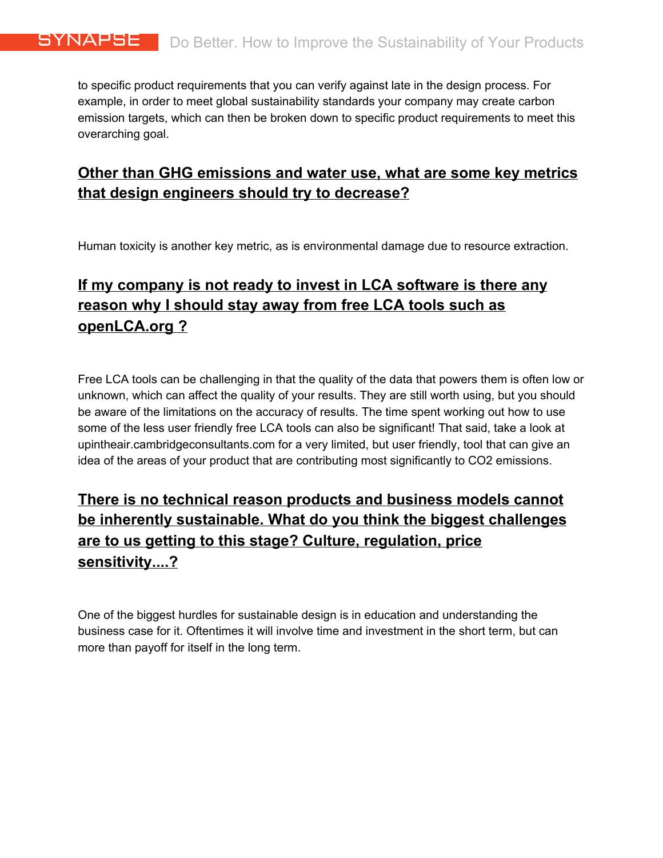to specific product requirements that you can verify against late in the design process. For example, in order to meet global sustainability standards your company may create carbon emission targets, which can then be broken down to specific product requirements to meet this overarching goal.

#### **Other than GHG emissions and water use, what are some key metrics that design engineers should try to decrease?**

Human toxicity is another key metric, as is environmental damage due to resource extraction.

# **If my company is not ready to invest in LCA software is there any reason why I should stay away from free LCA tools such as openLCA.org ?**

Free LCA tools can be challenging in that the quality of the data that powers them is often low or unknown, which can affect the quality of your results. They are still worth using, but you should be aware of the limitations on the accuracy of results. The time spent working out how to use some of the less user friendly free LCA tools can also be significant! That said, take a look at upintheair.cambridgeconsultants.com for a very limited, but user friendly, tool that can give an idea of the areas of your product that are contributing most significantly to CO2 emissions.

# **There is no technical reason products and business models cannot be inherently sustainable. What do you think the biggest challenges are to us getting to this stage? Culture, regulation, price sensitivity....?**

One of the biggest hurdles for sustainable design is in education and understanding the business case for it. Oftentimes it will involve time and investment in the short term, but can more than payoff for itself in the long term.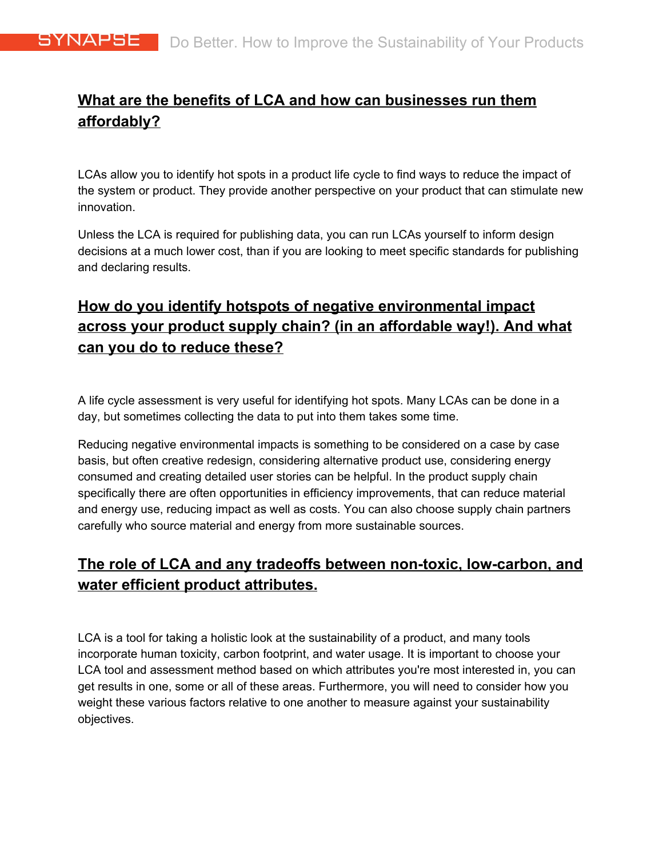# **What are the benefits of LCA and how can businesses run them affordably?**

LCAs allow you to identify hot spots in a product life cycle to find ways to reduce the impact of the system or product. They provide another perspective on your product that can stimulate new innovation.

Unless the LCA is required for publishing data, you can run LCAs yourself to inform design decisions at a much lower cost, than if you are looking to meet specific standards for publishing and declaring results.

# **How do you identify hotspots of negative environmental impact across your product supply chain? (in an affordable way!). And what can you do to reduce these?**

A life cycle assessment is very useful for identifying hot spots. Many LCAs can be done in a day, but sometimes collecting the data to put into them takes some time.

Reducing negative environmental impacts is something to be considered on a case by case basis, but often creative redesign, considering alternative product use, considering energy consumed and creating detailed user stories can be helpful. In the product supply chain specifically there are often opportunities in efficiency improvements, that can reduce material and energy use, reducing impact as well as costs. You can also choose supply chain partners carefully who source material and energy from more sustainable sources.

# **The role of LCA and any tradeoffs between non-toxic, low-carbon, and water efficient product attributes.**

LCA is a tool for taking a holistic look at the sustainability of a product, and many tools incorporate human toxicity, carbon footprint, and water usage. It is important to choose your LCA tool and assessment method based on which attributes you're most interested in, you can get results in one, some or all of these areas. Furthermore, you will need to consider how you weight these various factors relative to one another to measure against your sustainability objectives.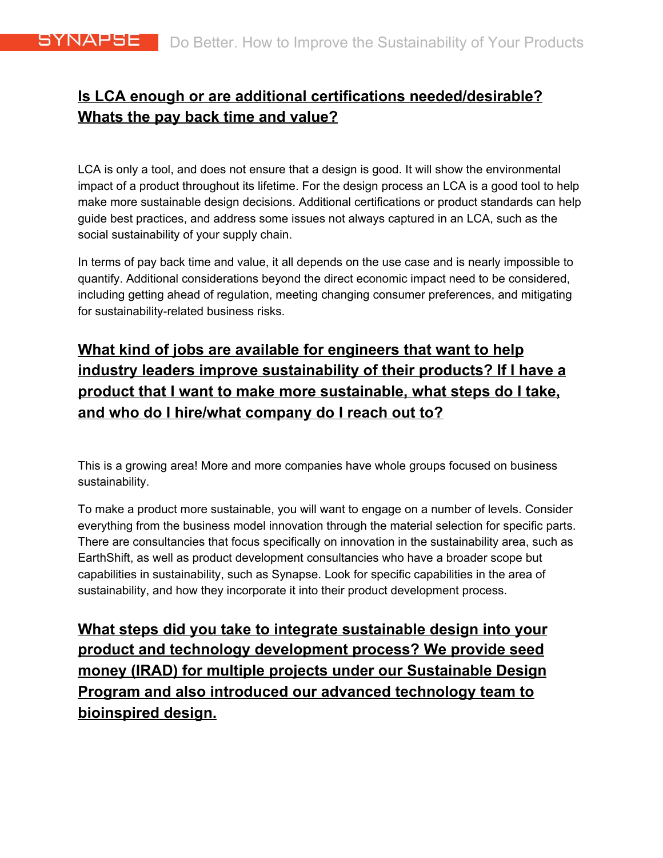#### **Is LCA enough or are additional certifications needed/desirable? Whats the pay back time and value?**

LCA is only a tool, and does not ensure that a design is good. It will show the environmental impact of a product throughout its lifetime. For the design process an LCA is a good tool to help make more sustainable design decisions. Additional certifications or product standards can help guide best practices, and address some issues not always captured in an LCA, such as the social sustainability of your supply chain.

In terms of pay back time and value, it all depends on the use case and is nearly impossible to quantify. Additional considerations beyond the direct economic impact need to be considered, including getting ahead of regulation, meeting changing consumer preferences, and mitigating for sustainability-related business risks.

# **What kind of jobs are available for engineers that want to help industry leaders improve sustainability of their products? If I have a product that I want to make more sustainable, what steps do I take, and who do I hire/what company do I reach out to?**

This is a growing area! More and more companies have whole groups focused on business sustainability.

To make a product more sustainable, you will want to engage on a number of levels. Consider everything from the business model innovation through the material selection for specific parts. There are consultancies that focus specifically on innovation in the sustainability area, such as EarthShift, as well as product development consultancies who have a broader scope but capabilities in sustainability, such as Synapse. Look for specific capabilities in the area of sustainability, and how they incorporate it into their product development process.

**What steps did you take to integrate sustainable design into your product and technology development process? We provide seed money (IRAD) for multiple projects under our Sustainable Design Program and also introduced our advanced technology team to bioinspired design.**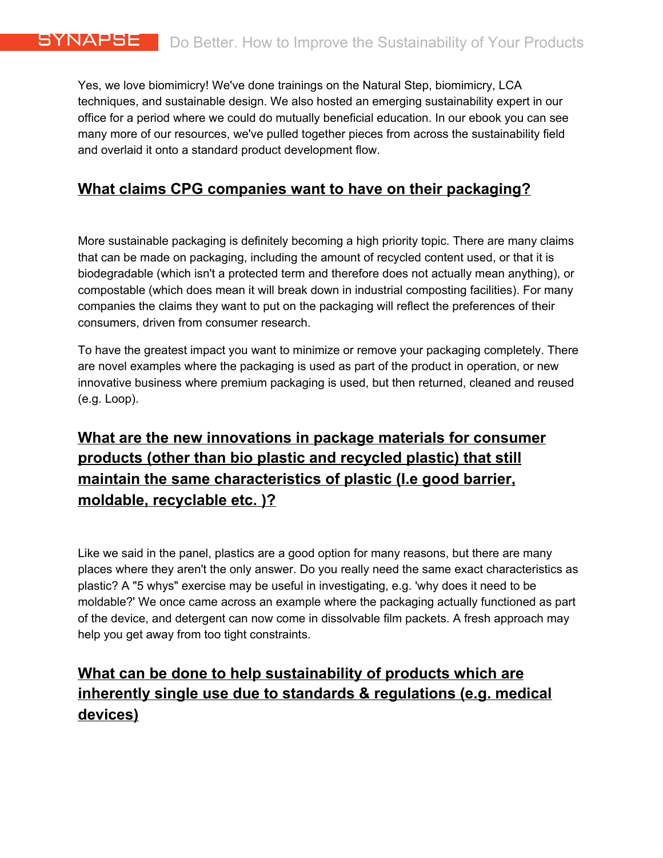Yes, we love biomimicry! We've done trainings on the Natural Step, biomimicry, LCA techniques, and sustainable design. We also hosted an emerging sustainability expert in our office for a period where we could do mutually beneficial education. In our ebook you can see many more of our resources, we've pulled together pieces from across the sustainability field and overlaid it onto a standard product development flow.

#### **What claims CPG companies want to have on their packaging?**

More sustainable packaging is definitely becoming a high priority topic. There are many claims that can be made on packaging, including the amount of recycled content used, or that it is biodegradable (which isn't a protected term and therefore does not actually mean anything), or compostable (which does mean it will break down in industrial composting facilities). For many companies the claims they want to put on the packaging will reflect the preferences of their consumers, driven from consumer research.

To have the greatest impact you want to minimize or remove your packaging completely. There are novel examples where the packaging is used as part of the product in operation, or new innovative business where premium packaging is used, but then returned, cleaned and reused (e.g. Loop).

# **What are the new innovations in package materials for consumer products (other than bio plastic and recycled plastic) that still maintain the same characteristics of plastic (I.e good barrier, moldable, recyclable etc. )?**

Like we said in the panel, plastics are a good option for many reasons, but there are many places where they aren't the only answer. Do you really need the same exact characteristics as plastic? A "5 whys" exercise may be useful in investigating, e.g. 'why does it need to be moldable?' We once came across an example where the packaging actually functioned as part of the device, and detergent can now come in dissolvable film packets. A fresh approach may help you get away from too tight constraints.

# **What can be done to help sustainability of products which are inherently single use due to standards & regulations (e.g. medical devices)**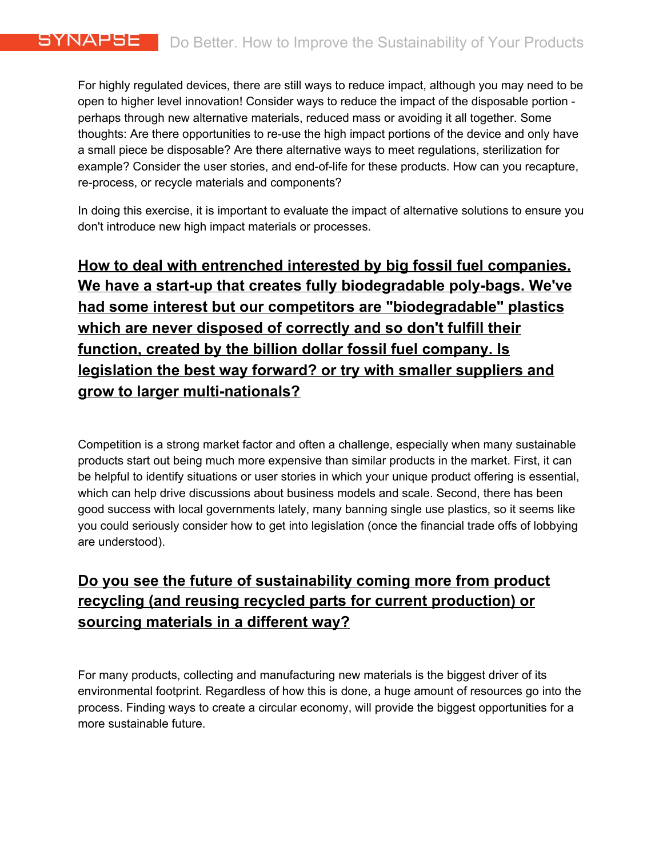For highly regulated devices, there are still ways to reduce impact, although you may need to be open to higher level innovation! Consider ways to reduce the impact of the disposable portion perhaps through new alternative materials, reduced mass or avoiding it all together. Some thoughts: Are there opportunities to re-use the high impact portions of the device and only have a small piece be disposable? Are there alternative ways to meet regulations, sterilization for example? Consider the user stories, and end-of-life for these products. How can you recapture, re-process, or recycle materials and components?

In doing this exercise, it is important to evaluate the impact of alternative solutions to ensure you don't introduce new high impact materials or processes.

**How to deal with entrenched interested by big fossil fuel companies. We have a start-up that creates fully biodegradable poly-bags. We've had some interest but our competitors are "biodegradable" plastics which are never disposed of correctly and so don't fulfill their function, created by the billion dollar fossil fuel company. Is legislation the best way forward? or try with smaller suppliers and grow to larger multi-nationals?**

Competition is a strong market factor and often a challenge, especially when many sustainable products start out being much more expensive than similar products in the market. First, it can be helpful to identify situations or user stories in which your unique product offering is essential, which can help drive discussions about business models and scale. Second, there has been good success with local governments lately, many banning single use plastics, so it seems like you could seriously consider how to get into legislation (once the financial trade offs of lobbying are understood).

# **Do you see the future of sustainability coming more from product recycling (and reusing recycled parts for current production) or sourcing materials in a different way?**

For many products, collecting and manufacturing new materials is the biggest driver of its environmental footprint. Regardless of how this is done, a huge amount of resources go into the process. Finding ways to create a circular economy, will provide the biggest opportunities for a more sustainable future.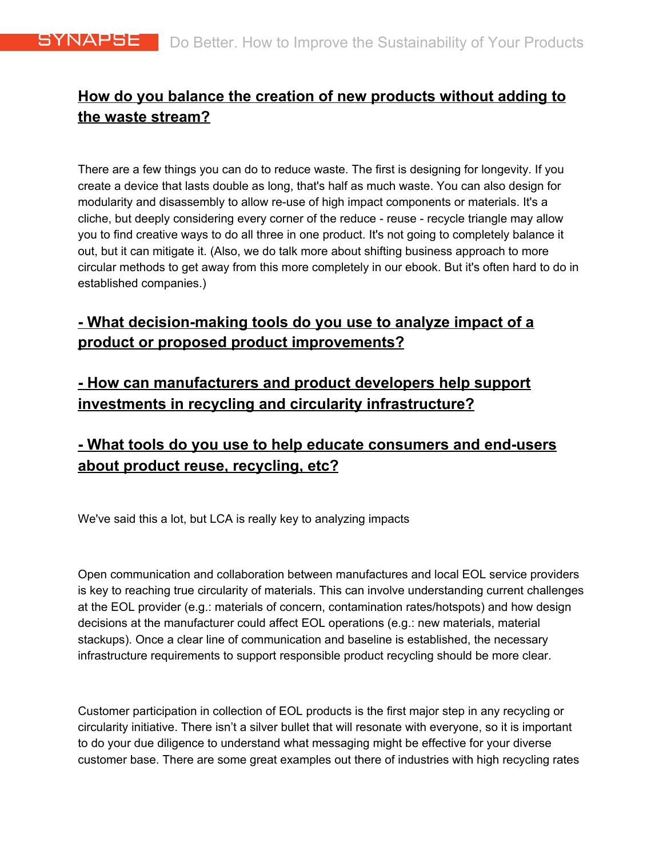#### **How do you balance the creation of new products without adding to the waste stream?**

There are a few things you can do to reduce waste. The first is designing for longevity. If you create a device that lasts double as long, that's half as much waste. You can also design for modularity and disassembly to allow re-use of high impact components or materials. It's a cliche, but deeply considering every corner of the reduce - reuse - recycle triangle may allow you to find creative ways to do all three in one product. It's not going to completely balance it out, but it can mitigate it. (Also, we do talk more about shifting business approach to more circular methods to get away from this more completely in our ebook. But it's often hard to do in established companies.)

#### **- What decision-making tools do you use to analyze impact of a product or proposed product improvements?**

# **- How can manufacturers and product developers help support investments in recycling and circularity infrastructure?**

# **- What tools do you use to help educate consumers and end-users about product reuse, recycling, etc?**

We've said this a lot, but LCA is really key to analyzing impacts

Open communication and collaboration between manufactures and local EOL service providers is key to reaching true circularity of materials. This can involve understanding current challenges at the EOL provider (e.g.: materials of concern, contamination rates/hotspots) and how design decisions at the manufacturer could affect EOL operations (e.g.: new materials, material stackups). Once a clear line of communication and baseline is established, the necessary infrastructure requirements to support responsible product recycling should be more clear.

Customer participation in collection of EOL products is the first major step in any recycling or circularity initiative. There isn't a silver bullet that will resonate with everyone, so it is important to do your due diligence to understand what messaging might be effective for your diverse customer base. There are some great examples out there of industries with high recycling rates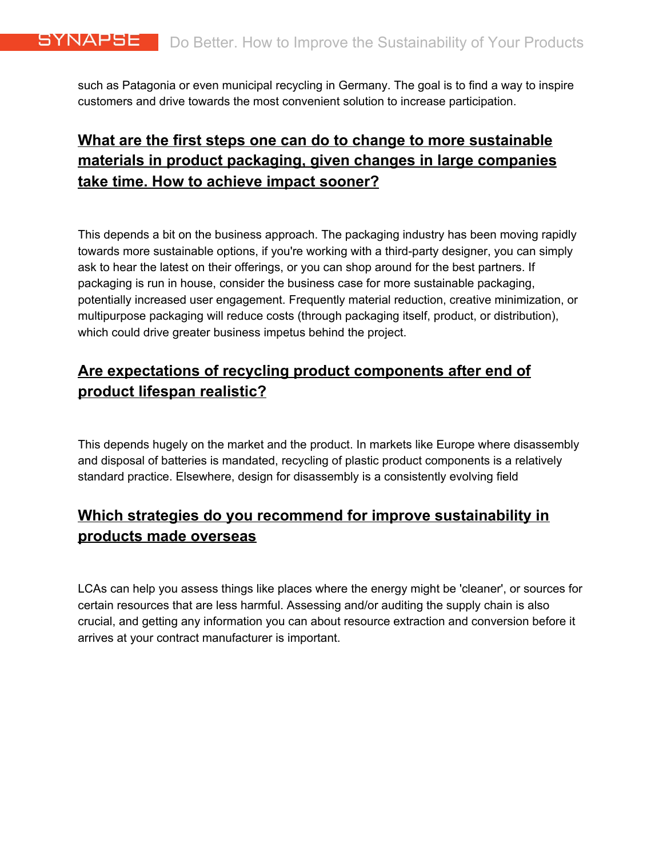such as Patagonia or even municipal recycling in Germany. The goal is to find a way to inspire customers and drive towards the most convenient solution to increase participation.

# **What are the first steps one can do to change to more sustainable materials in product packaging, given changes in large companies take time. How to achieve impact sooner?**

This depends a bit on the business approach. The packaging industry has been moving rapidly towards more sustainable options, if you're working with a third-party designer, you can simply ask to hear the latest on their offerings, or you can shop around for the best partners. If packaging is run in house, consider the business case for more sustainable packaging, potentially increased user engagement. Frequently material reduction, creative minimization, or multipurpose packaging will reduce costs (through packaging itself, product, or distribution), which could drive greater business impetus behind the project.

#### **Are expectations of recycling product components after end of product lifespan realistic?**

This depends hugely on the market and the product. In markets like Europe where disassembly and disposal of batteries is mandated, recycling of plastic product components is a relatively standard practice. Elsewhere, design for disassembly is a consistently evolving field

#### **Which strategies do you recommend for improve sustainability in products made overseas**

LCAs can help you assess things like places where the energy might be 'cleaner', or sources for certain resources that are less harmful. Assessing and/or auditing the supply chain is also crucial, and getting any information you can about resource extraction and conversion before it arrives at your contract manufacturer is important.